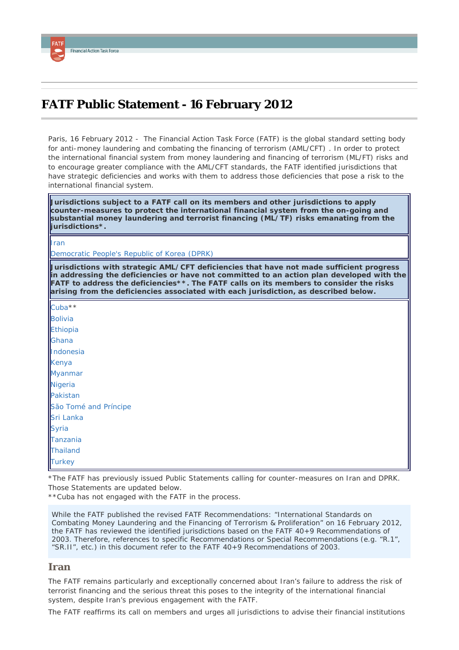# <span id="page-0-1"></span>**FATF Public Statement - 16 February 2012**

*Paris, 16 February 2012 -* The Financial Action Task Force (FATF) is the global standard setting body for anti-money laundering and combating the financing of terrorism (AML/CFT) . In order to protect the international financial system from money laundering and financing of terrorism (ML/FT) risks and to encourage greater compliance with the AML/CFT standards, the FATF identified jurisdictions that have strategic deficiencies and works with them to address those deficiencies that pose a risk to the international financial system.

*Jurisdictions subject to a FATF call on its members and other jurisdictions to apply counter-measures to protect the international financial system from the on-going and substantial money laundering and terrorist financing (ML/TF) risks emanating from the jurisdictions\*.*

[Iran](#page-0-0)

[Democratic People's Republic of Korea \(DPRK\)](#page-1-0)

*Jurisdictions with strategic AML/CFT deficiencies that have not made sufficient progress in addressing the deficiencies or have not committed to an action plan developed with the FATF to address the deficiencies\*\*. The FATF calls on its members to consider the risks arising from the deficiencies associated with each jurisdiction, as described below.*

[Cuba\\*](#page-1-1)\* [Bolivia](#page-1-2) [Ethiopia](#page-1-3) [Ghana](#page-2-0) [Indonesia](#page-2-1) [Kenya](#page-2-2) [Myanmar](#page-2-3) **[Nigeria](#page-2-4)** [Pakistan](#page-3-0) [São Tomé and Príncipe](#page-3-1) [Sri Lanka](#page-3-2) [Syria](#page-3-3) [Tanzania](#page-3-4) **[Thailand](#page-4-0) [Turkey](#page-4-1)** 

\*The FATF has previously issued Public Statements calling for counter-measures on Iran and DPRK. Those Statements are updated below.

\*\*Cuba has not engaged with the FATF in the process.

*While the FATF published the revised FATF Recommendations: "International Standards on Combating Money Laundering and the Financing of Terrorism & Proliferation" on 16 February 2012, the FATF has reviewed the identified jurisdictions based on the FATF 40+9 Recommendations of 2003. Therefore, references to specific Recommendations or Special Recommendations (e.g. "R.1", "SR.II", etc.) in this document refer to the FATF 40+9 Recommendations of 2003.*

#### <span id="page-0-0"></span>**Iran**

The FATF remains particularly and exceptionally concerned about Iran's failure to address the risk of terrorist financing and the serious threat this poses to the integrity of the international financial system, despite Iran's previous engagement with the FATF.

The FATF reaffirms its call on members and urges all jurisdictions to advise their financial institutions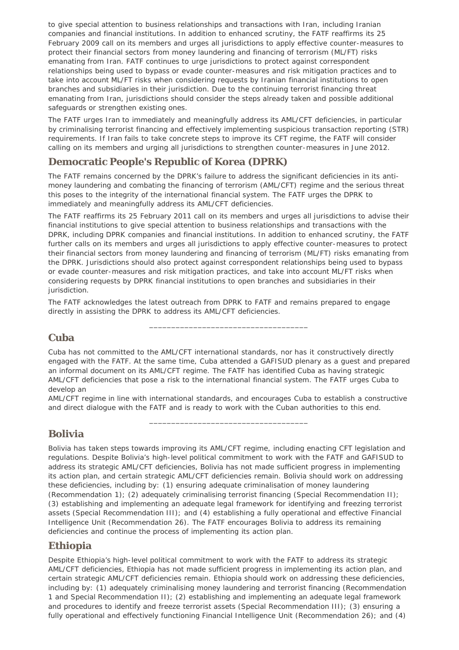to give special attention to business relationships and transactions with Iran, including Iranian companies and financial institutions. In addition to enhanced scrutiny, the FATF reaffirms its 25 February 2009 call on its members and urges all jurisdictions to apply effective counter-measures to protect their financial sectors from money laundering and financing of terrorism (ML/FT) risks emanating from Iran. FATF continues to urge jurisdictions to protect against correspondent relationships being used to bypass or evade counter-measures and risk mitigation practices and to take into account ML/FT risks when considering requests by Iranian financial institutions to open branches and subsidiaries in their jurisdiction. Due to the continuing terrorist financing threat emanating from Iran, jurisdictions should consider the steps already taken and possible additional safeguards or strengthen existing ones.

The FATF urges Iran to immediately and meaningfully address its AML/CFT deficiencies, in particular by criminalising terrorist financing and effectively implementing suspicious transaction reporting (STR) requirements. If Iran fails to take concrete steps to improve its CFT regime, the FATF will consider calling on its members and urging all jurisdictions to strengthen counter-measures in June 2012.

## <span id="page-1-0"></span>**Democratic People's Republic of Korea (DPRK)**

The FATF remains concerned by the DPRK's failure to address the significant deficiencies in its antimoney laundering and combating the financing of terrorism (AML/CFT) regime and the serious threat this poses to the integrity of the international financial system. The FATF urges the DPRK to immediately and meaningfully address its AML/CFT deficiencies.

The FATF reaffirms its 25 February 2011 call on its members and urges all jurisdictions to advise their financial institutions to give special attention to business relationships and transactions with the DPRK, including DPRK companies and financial institutions. In addition to enhanced scrutiny, the FATF further calls on its members and urges all jurisdictions to apply effective counter-measures to protect their financial sectors from money laundering and financing of terrorism (ML/FT) risks emanating from the DPRK. Jurisdictions should also protect against correspondent relationships being used to bypass or evade counter-measures and risk mitigation practices, and take into account ML/FT risks when considering requests by DPRK financial institutions to open branches and subsidiaries in their jurisdiction.

The FATF acknowledges the latest outreach from DPRK to FATF and remains prepared to engage directly in assisting the DPRK to address its AML/CFT deficiencies.

### <span id="page-1-1"></span>**Cuba**

Cuba has not committed to the AML/CFT international standards, nor has it constructively directly engaged with the FATF. At the same time, Cuba attended a GAFISUD plenary as a guest and prepared an informal document on its AML/CFT regime. The FATF has identified Cuba as having strategic AML/CFT deficiencies that pose a risk to the international financial system. The FATF urges Cuba to develop an

\_\_\_\_\_\_\_\_\_\_\_\_\_\_\_\_\_\_\_\_\_\_\_\_\_\_\_\_\_\_\_\_\_\_\_\_

AML/CFT regime in line with international standards, and encourages Cuba to establish a constructive and direct dialogue with the FATF and is ready to work with the Cuban authorities to this end.

\_\_\_\_\_\_\_\_\_\_\_\_\_\_\_\_\_\_\_\_\_\_\_\_\_\_\_\_\_\_\_\_\_\_\_\_

### <span id="page-1-2"></span>**Bolivia**

Bolivia has taken steps towards improving its AML/CFT regime, including enacting CFT legislation and regulations. Despite Bolivia's high-level political commitment to work with the FATF and GAFISUD to address its strategic AML/CFT deficiencies, Bolivia has not made sufficient progress in implementing its action plan, and certain strategic AML/CFT deficiencies remain. Bolivia should work on addressing these deficiencies, including by: (1) ensuring adequate criminalisation of money laundering (Recommendation 1); (2) adequately criminalising terrorist financing (Special Recommendation II); (3) establishing and implementing an adequate legal framework for identifying and freezing terrorist assets (Special Recommendation III); and (4) establishing a fully operational and effective Financial Intelligence Unit (Recommendation 26). The FATF encourages Bolivia to address its remaining deficiencies and continue the process of implementing its action plan.

### <span id="page-1-3"></span>**Ethiopia**

Despite Ethiopia's high-level political commitment to work with the FATF to address its strategic AML/CFT deficiencies, Ethiopia has not made sufficient progress in implementing its action plan, and certain strategic AML/CFT deficiencies remain. Ethiopia should work on addressing these deficiencies, including by: (1) adequately criminalising money laundering and terrorist financing (Recommendation 1 and Special Recommendation II); (2) establishing and implementing an adequate legal framework and procedures to identify and freeze terrorist assets (Special Recommendation III); (3) ensuring a fully operational and effectively functioning Financial Intelligence Unit (Recommendation 26); and (4)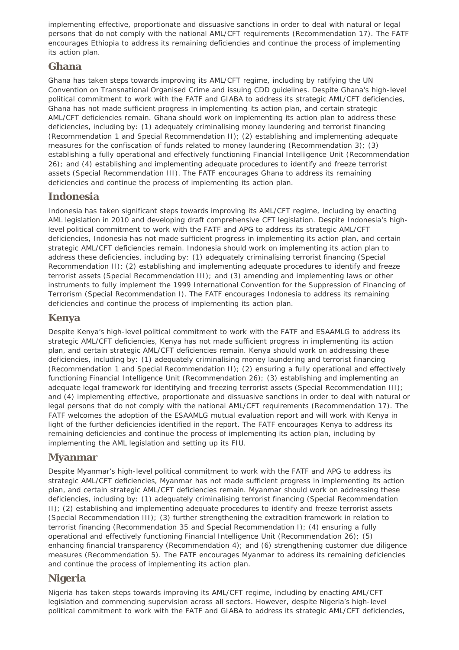implementing effective, proportionate and dissuasive sanctions in order to deal with natural or legal persons that do not comply with the national AML/CFT requirements (Recommendation 17). The FATF encourages Ethiopia to address its remaining deficiencies and continue the process of implementing its action plan.

#### <span id="page-2-0"></span>**Ghana**

Ghana has taken steps towards improving its AML/CFT regime, including by ratifying the UN Convention on Transnational Organised Crime and issuing CDD guidelines. Despite Ghana's high-level political commitment to work with the FATF and GIABA to address its strategic AML/CFT deficiencies, Ghana has not made sufficient progress in implementing its action plan, and certain strategic AML/CFT deficiencies remain. Ghana should work on implementing its action plan to address these deficiencies, including by: (1) adequately criminalising money laundering and terrorist financing (Recommendation 1 and Special Recommendation II); (2) establishing and implementing adequate measures for the confiscation of funds related to money laundering (Recommendation 3); (3) establishing a fully operational and effectively functioning Financial Intelligence Unit (Recommendation 26); and (4) establishing and implementing adequate procedures to identify and freeze terrorist assets (Special Recommendation III). The FATF encourages Ghana to address its remaining deficiencies and continue the process of implementing its action plan.

### <span id="page-2-1"></span>**Indonesia**

Indonesia has taken significant steps towards improving its AML/CFT regime, including by enacting AML legislation in 2010 and developing draft comprehensive CFT legislation. Despite Indonesia's highlevel political commitment to work with the FATF and APG to address its strategic AML/CFT deficiencies, Indonesia has not made sufficient progress in implementing its action plan, and certain strategic AML/CFT deficiencies remain. Indonesia should work on implementing its action plan to address these deficiencies, including by: (1) adequately criminalising terrorist financing (Special Recommendation II); (2) establishing and implementing adequate procedures to identify and freeze terrorist assets (Special Recommendation III); and (3) amending and implementing laws or other instruments to fully implement the 1999 International Convention for the Suppression of Financing of Terrorism (Special Recommendation I). The FATF encourages Indonesia to address its remaining deficiencies and continue the process of implementing its action plan.

### <span id="page-2-2"></span>**Kenya**

Despite Kenya's high-level political commitment to work with the FATF and ESAAMLG to address its strategic AML/CFT deficiencies, Kenya has not made sufficient progress in implementing its action plan, and certain strategic AML/CFT deficiencies remain. Kenya should work on addressing these deficiencies, including by: (1) adequately criminalising money laundering and terrorist financing (Recommendation 1 and Special Recommendation II); (2) ensuring a fully operational and effectively functioning Financial Intelligence Unit (Recommendation 26); (3) establishing and implementing an adequate legal framework for identifying and freezing terrorist assets (Special Recommendation III); and (4) implementing effective, proportionate and dissuasive sanctions in order to deal with natural or legal persons that do not comply with the national AML/CFT requirements (Recommendation 17). The FATF welcomes the adoption of the ESAAMLG mutual evaluation report and will work with Kenya in light of the further deficiencies identified in the report. The FATF encourages Kenya to address its remaining deficiencies and continue the process of implementing its action plan, including by implementing the AML legislation and setting up its FIU.

#### <span id="page-2-3"></span>**Myanmar**

Despite Myanmar's high-level political commitment to work with the FATF and APG to address its strategic AML/CFT deficiencies, Myanmar has not made sufficient progress in implementing its action plan, and certain strategic AML/CFT deficiencies remain. Myanmar should work on addressing these deficiencies, including by: (1) adequately criminalising terrorist financing (Special Recommendation II); (2) establishing and implementing adequate procedures to identify and freeze terrorist assets (Special Recommendation III); (3) further strengthening the extradition framework in relation to terrorist financing (Recommendation 35 and Special Recommendation I); (4) ensuring a fully operational and effectively functioning Financial Intelligence Unit (Recommendation 26); (5) enhancing financial transparency (Recommendation 4); and (6) strengthening customer due diligence measures (Recommendation 5). The FATF encourages Myanmar to address its remaining deficiencies and continue the process of implementing its action plan.

### <span id="page-2-4"></span>**Nigeria**

Nigeria has taken steps towards improving its AML/CFT regime, including by enacting AML/CFT legislation and commencing supervision across all sectors. However, despite Nigeria's high-level political commitment to work with the FATF and GIABA to address its strategic AML/CFT deficiencies,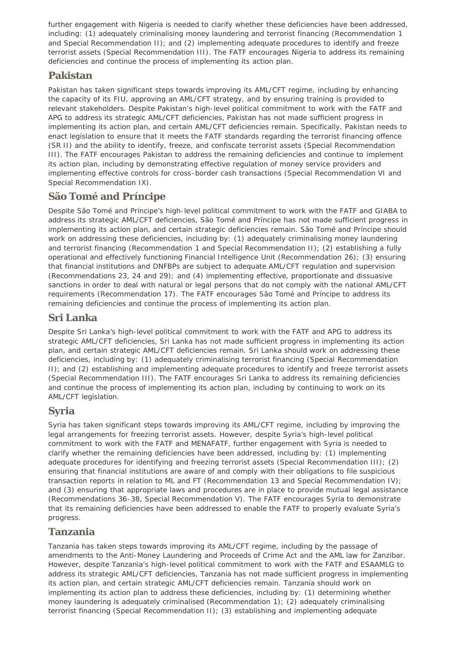further engagement with Nigeria is needed to clarify whether these deficiencies have been addressed, including: (1) adequately criminalising money laundering and terrorist financing (Recommendation 1 and Special Recommendation II); and (2) implementing adequate procedures to identify and freeze terrorist assets (Special Recommendation III). The FATF encourages Nigeria to address its remaining deficiencies and continue the process of implementing its action plan.

### <span id="page-3-0"></span>**Pakistan**

Pakistan has taken significant steps towards improving its AML/CFT regime, including by enhancing the capacity of its FIU, approving an AML/CFT strategy, and by ensuring training is provided to relevant stakeholders. Despite Pakistan's high-level political commitment to work with the FATF and APG to address its strategic AML/CFT deficiencies, Pakistan has not made sufficient progress in implementing its action plan, and certain AML/CFT deficiencies remain. Specifically, Pakistan needs to enact legislation to ensure that it meets the FATF standards regarding the terrorist financing offence (SR II) and the ability to identify, freeze, and confiscate terrorist assets (Special Recommendation III). The FATF encourages Pakistan to address the remaining deficiencies and continue to implement its action plan, including by demonstrating effective regulation of money service providers and implementing effective controls for cross-border cash transactions (Special Recommendation VI and Special Recommendation IX).

### <span id="page-3-1"></span>**São Tomé and Príncipe**

Despite São Tomé and Príncipe's high-level political commitment to work with the FATF and GIABA to address its strategic AML/CFT deficiencies, São Tomé and Príncipe has not made sufficient progress in implementing its action plan, and certain strategic deficiencies remain. São Tomé and Príncipe should work on addressing these deficiencies, including by: (1) adequately criminalising money laundering and terrorist financing (Recommendation 1 and Special Recommendation II); (2) establishing a fully operational and effectively functioning Financial Intelligence Unit (Recommendation 26); (3) ensuring that financial institutions and DNFBPs are subject to adequate AML/CFT regulation and supervision (Recommendations 23, 24 and 29); and (4) implementing effective, proportionate and dissuasive sanctions in order to deal with natural or legal persons that do not comply with the national AML/CFT requirements (Recommendation 17). The FATF encourages São Tomé and Príncipe to address its remaining deficiencies and continue the process of implementing its action plan.

### <span id="page-3-2"></span>**Sri Lanka**

Despite Sri Lanka's high-level political commitment to work with the FATF and APG to address its strategic AML/CFT deficiencies, Sri Lanka has not made sufficient progress in implementing its action plan, and certain strategic AML/CFT deficiencies remain. Sri Lanka should work on addressing these deficiencies, including by: (1) adequately criminalising terrorist financing (Special Recommendation II); and (2) establishing and implementing adequate procedures to identify and freeze terrorist assets (Special Recommendation III). The FATF encourages Sri Lanka to address its remaining deficiencies and continue the process of implementing its action plan, including by continuing to work on its AML/CFT legislation.

### <span id="page-3-3"></span>**Syria**

Syria has taken significant steps towards improving its AML/CFT regime, including by improving the legal arrangements for freezing terrorist assets. However, despite Syria's high-level political commitment to work with the FATF and MENAFATF, further engagement with Syria is needed to clarify whether the remaining deficiencies have been addressed, including by: (1) implementing adequate procedures for identifying and freezing terrorist assets (Special Recommendation III); (2) ensuring that financial institutions are aware of and comply with their obligations to file suspicious transaction reports in relation to ML and FT (Recommendation 13 and Special Recommendation IV); and (3) ensuring that appropriate laws and procedures are in place to provide mutual legal assistance (Recommendations 36-38, Special Recommendation V). The FATF encourages Syria to demonstrate that its remaining deficiencies have been addressed to enable the FATF to properly evaluate Syria's progress.

### <span id="page-3-4"></span>**Tanzania**

Tanzania has taken steps towards improving its AML/CFT regime, including by the passage of amendments to the Anti-Money Laundering and Proceeds of Crime Act and the AML law for Zanzibar. However, despite Tanzania's high-level political commitment to work with the FATF and ESAAMLG to address its strategic AML/CFT deficiencies, Tanzania has not made sufficient progress in implementing its action plan, and certain strategic AML/CFT deficiencies remain. Tanzania should work on implementing its action plan to address these deficiencies, including by: (1) determining whether money laundering is adequately criminalised (Recommendation 1); (2) adequately criminalising terrorist financing (Special Recommendation II); (3) establishing and implementing adequate